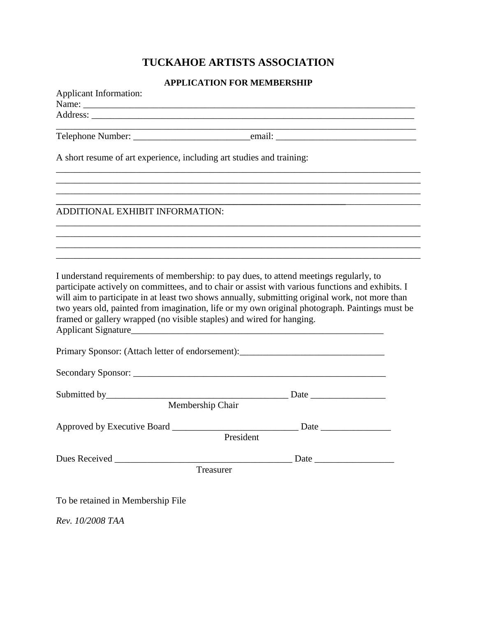# **TUCKAHOE ARTISTS ASSOCIATION**

### **APPLICATION FOR MEMBERSHIP**

| <b>Applicant Information:</b>                                         |                                                                                                                                                                                                                                                                                                                                                                                             |
|-----------------------------------------------------------------------|---------------------------------------------------------------------------------------------------------------------------------------------------------------------------------------------------------------------------------------------------------------------------------------------------------------------------------------------------------------------------------------------|
|                                                                       |                                                                                                                                                                                                                                                                                                                                                                                             |
|                                                                       |                                                                                                                                                                                                                                                                                                                                                                                             |
|                                                                       |                                                                                                                                                                                                                                                                                                                                                                                             |
| A short resume of art experience, including art studies and training: |                                                                                                                                                                                                                                                                                                                                                                                             |
|                                                                       |                                                                                                                                                                                                                                                                                                                                                                                             |
| ADDITIONAL EXHIBIT INFORMATION:                                       | ,我们也不能在这里的时候,我们也不能在这里的时候,我们也不能会在这里的时候,我们也不能会在这里的时候,我们也不能会在这里的时候,我们也不能会在这里的时候,我们也不                                                                                                                                                                                                                                                                                                           |
|                                                                       |                                                                                                                                                                                                                                                                                                                                                                                             |
|                                                                       | ,我们也不能在这里的时候,我们也不能在这里的时候,我们也不能会在这里的时候,我们也不能会在这里的时候,我们也不能会在这里的时候,我们也不能会在这里的时候,我们也不                                                                                                                                                                                                                                                                                                           |
|                                                                       |                                                                                                                                                                                                                                                                                                                                                                                             |
| framed or gallery wrapped (no visible staples) and wired for hanging. | participate actively on committees, and to chair or assist with various functions and exhibits. I<br>will aim to participate in at least two shows annually, submitting original work, not more than<br>two years old, painted from imagination, life or my own original photograph. Paintings must be<br>Primary Sponsor: (Attach letter of endorsement): ________________________________ |
|                                                                       |                                                                                                                                                                                                                                                                                                                                                                                             |
|                                                                       |                                                                                                                                                                                                                                                                                                                                                                                             |
|                                                                       |                                                                                                                                                                                                                                                                                                                                                                                             |
|                                                                       | Membership Chair                                                                                                                                                                                                                                                                                                                                                                            |
|                                                                       |                                                                                                                                                                                                                                                                                                                                                                                             |
|                                                                       | President                                                                                                                                                                                                                                                                                                                                                                                   |
|                                                                       |                                                                                                                                                                                                                                                                                                                                                                                             |
|                                                                       | Treasurer                                                                                                                                                                                                                                                                                                                                                                                   |
| To be retained in Membership File                                     |                                                                                                                                                                                                                                                                                                                                                                                             |

*Rev. 10/2008 TAA*